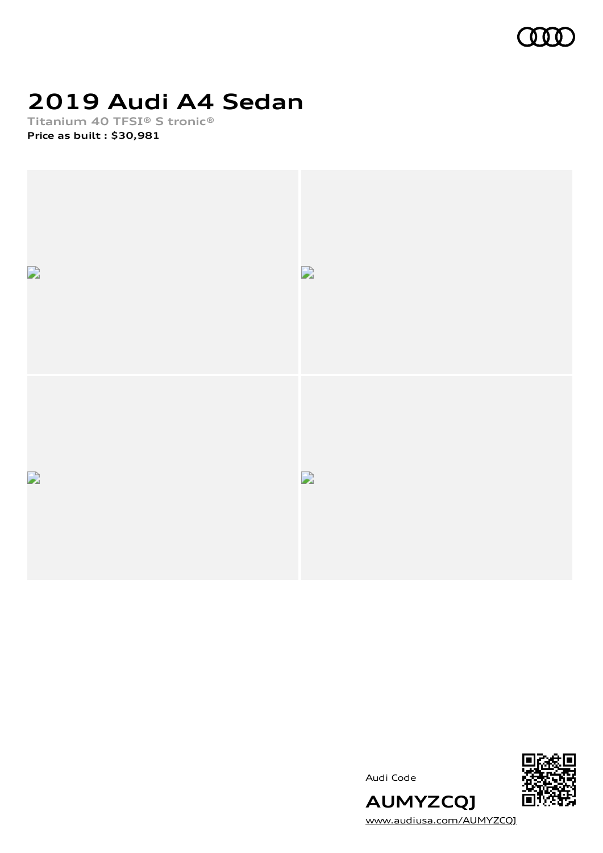

# **2019 Audi A4 Sedan**

**Titanium 40 TFSI® S tronic® Price as built [:](#page-8-0) \$30,981**







[www.audiusa.com/AUMYZCQJ](https://www.audiusa.com/AUMYZCQJ)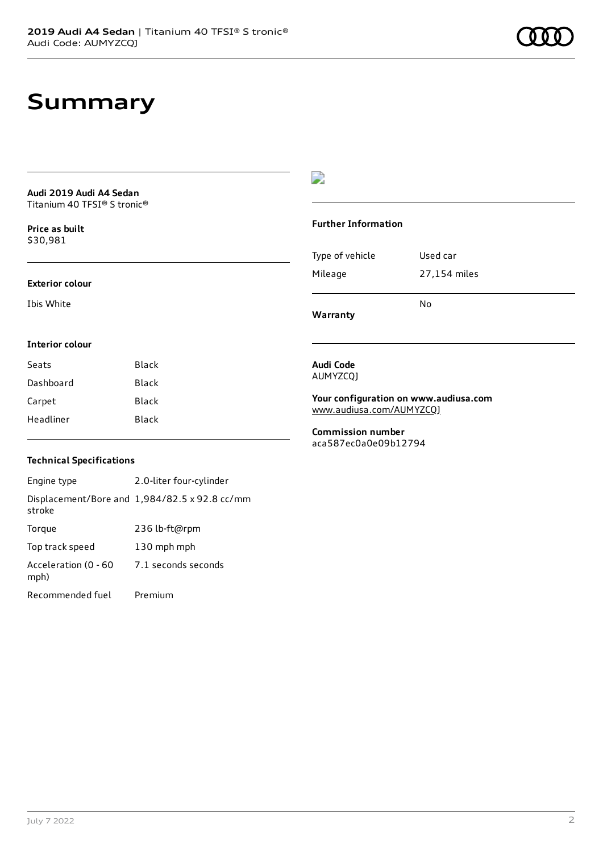## **Summary**

**Audi 2019 Audi A4 Sedan** Titanium 40 TFSI® S tronic®

**Price as buil[t](#page-8-0)** \$30,981

#### **Exterior colour**

**Interior colour**

Ibis White

### D

#### **Further Information**

|                 | N٥           |
|-----------------|--------------|
| Mileage         | 27,154 miles |
| Type of vehicle | Used car     |

**Warranty**

### **Audi Code**

AUMYZCQJ

**Your configuration on www.audiusa.com** [www.audiusa.com/AUMYZCQJ](https://www.audiusa.com/AUMYZCQJ)

**Commission number** aca587ec0a0e09b12794

### **Technical Specifications**

Seats Black Dashboard Black Carpet Black Headliner Black

Engine type 2.0-liter four-cylinder Displacement/Bore and 1,984/82.5 x 92.8 cc/mm stroke Torque 236 lb-ft@rpm Top track speed 130 mph mph Acceleration (0 - 60 mph) 7.1 seconds seconds Recommended fuel Premium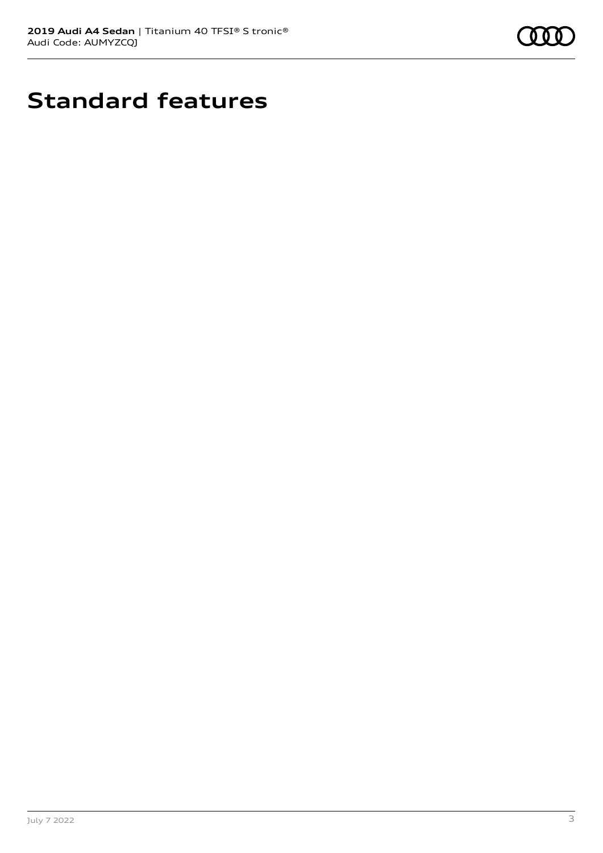

# **Standard features**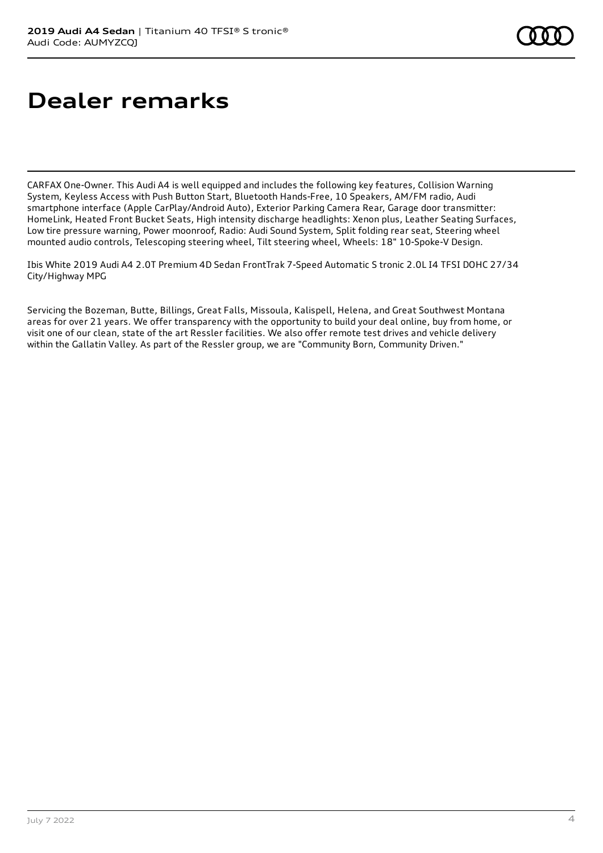# **Dealer remarks**

CARFAX One-Owner. This Audi A4 is well equipped and includes the following key features, Collision Warning System, Keyless Access with Push Button Start, Bluetooth Hands-Free, 10 Speakers, AM/FM radio, Audi smartphone interface (Apple CarPlay/Android Auto), Exterior Parking Camera Rear, Garage door transmitter: HomeLink, Heated Front Bucket Seats, High intensity discharge headlights: Xenon plus, Leather Seating Surfaces, Low tire pressure warning, Power moonroof, Radio: Audi Sound System, Split folding rear seat, Steering wheel mounted audio controls, Telescoping steering wheel, Tilt steering wheel, Wheels: 18" 10-Spoke-V Design.

Ibis White 2019 Audi A4 2.0T Premium 4D Sedan FrontTrak 7-Speed Automatic S tronic 2.0L I4 TFSI DOHC 27/34 City/Highway MPG

Servicing the Bozeman, Butte, Billings, Great Falls, Missoula, Kalispell, Helena, and Great Southwest Montana areas for over 21 years. We offer transparency with the opportunity to build your deal online, buy from home, or visit one of our clean, state of the art Ressler facilities. We also offer remote test drives and vehicle delivery within the Gallatin Valley. As part of the Ressler group, we are "Community Born, Community Driven."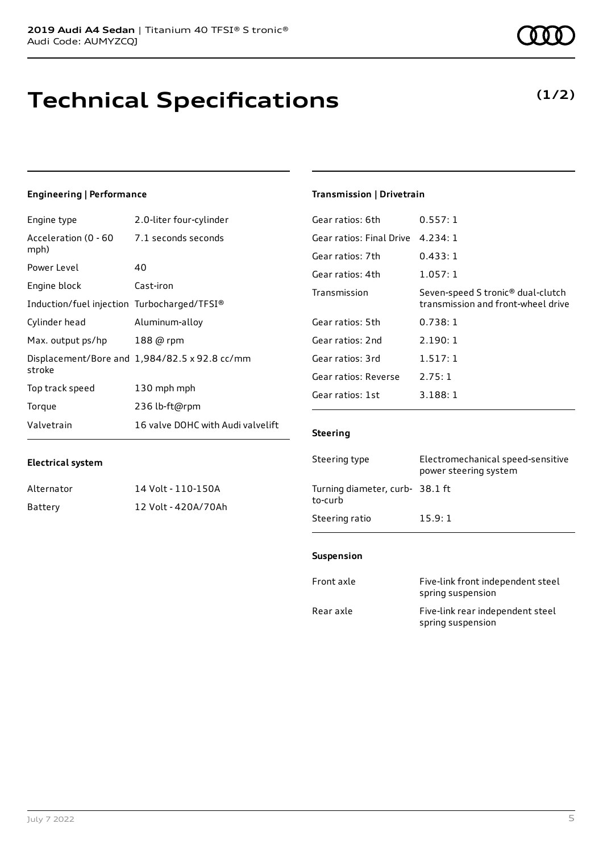## **Technical Specifications**

### **Engineering | Performance**

| Engine type                                 | 2.0-liter four-cylinder                       |
|---------------------------------------------|-----------------------------------------------|
| Acceleration (0 - 60<br>mph)                | 7.1 seconds seconds                           |
| Power Level                                 | 40                                            |
| Engine block                                | Cast-iron                                     |
| Induction/fuel injection Turbocharged/TFSI® |                                               |
| Cylinder head                               | Aluminum-alloy                                |
| Max. output ps/hp                           | 188 @ rpm                                     |
| stroke                                      | Displacement/Bore and 1,984/82.5 x 92.8 cc/mm |
| Top track speed                             | 130 mph mph                                   |
| Torque                                      | 236 lb-ft@rpm                                 |
| Valvetrain                                  | 16 valve DOHC with Audi valvelift             |

#### **Transmission | Drivetrain**

| Gear ratios: 6th         | 0.557:1                                                                             |
|--------------------------|-------------------------------------------------------------------------------------|
| Gear ratios: Final Drive | 4.234:1                                                                             |
| Gear ratios: 7th         | 0.433:1                                                                             |
| Gear ratios: 4th         | 1.057:1                                                                             |
| Transmission             | Seven-speed S tronic <sup>®</sup> dual-clutch<br>transmission and front-wheel drive |
| Gear ratios: 5th         | 0.738:1                                                                             |
| Gear ratios: 2nd         | 2.190:1                                                                             |
| Gear ratios: 3rd         | 1.517:1                                                                             |
| Gear ratios: Reverse     | 2.75:1                                                                              |
| Gear ratios: 1st         | 3.188:1                                                                             |
|                          |                                                                                     |

#### **Steering**

| Steering type                             | Electromechanical speed-sensitive<br>power steering system |
|-------------------------------------------|------------------------------------------------------------|
| Turning diameter, curb-38.1 ft<br>to-curb |                                                            |
| Steering ratio                            | 15.9:1                                                     |

#### **Suspension**

| Front axle | Five-link front independent steel<br>spring suspension |
|------------|--------------------------------------------------------|
| Rear axle  | Five-link rear independent steel<br>spring suspension  |

#### **Electrical system**

| Alternator | 14 Volt - 110-150A  |
|------------|---------------------|
| Battery    | 12 Volt - 420A/70Ah |

### **(1/2)**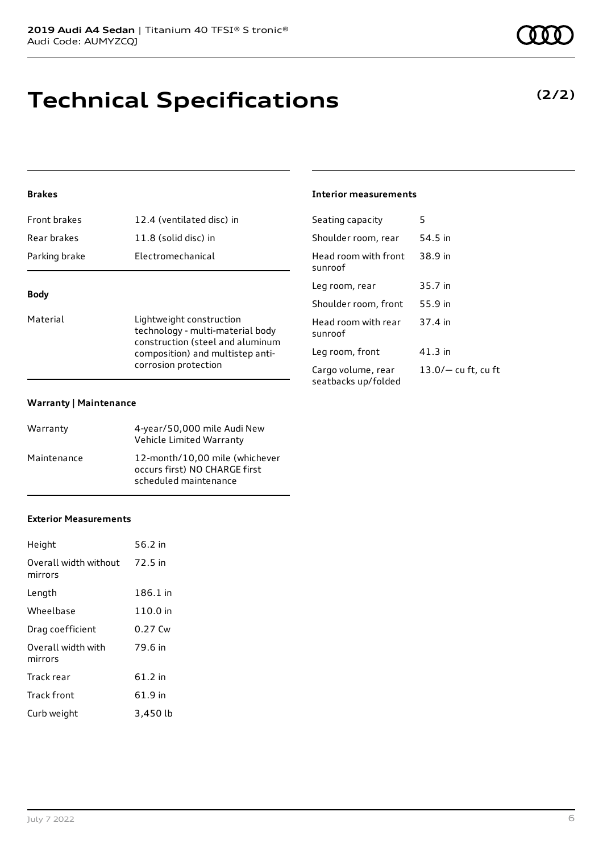# **Technical Specifications**

### **Brakes**

| Parking brake       | Electromechanical         |
|---------------------|---------------------------|
| Rear brakes         | 11.8 (solid disc) in      |
| <b>Front brakes</b> | 12.4 (ventilated disc) in |

### **Body**

Material **Lightweight construction** technology - multi-material body construction (steel and aluminum composition) and multistep anticorrosion protection

#### **Warranty | Maintenance**

| Warranty    | 4-year/50,000 mile Audi New<br>Vehicle Limited Warranty                                  |
|-------------|------------------------------------------------------------------------------------------|
| Maintenance | 12-month/10,00 mile (whichever<br>occurs first) NO CHARGE first<br>scheduled maintenance |

#### **Exterior Measurements**

| Height                           | 56.2 in  |
|----------------------------------|----------|
| Overall width without<br>mirrors | 72.5 in  |
| Length                           | 186.1 in |
| Wheelbase                        | 110.0 in |
| Drag coefficient                 | 0.27 Cw  |
| Overall width with<br>mirrors    | 79.6 in  |
| Track rear                       | 61.2 in  |
| <b>Track front</b>               | 61.9 in  |
| Curb weight                      | 3,450 lb |

### **Interior measurements**

| Seating capacity                          | 5                     |
|-------------------------------------------|-----------------------|
| Shoulder room, rear                       | 54.5 in               |
| Head room with front<br>sunroof           | 38.9 in               |
| Leg room, rear                            | 35.7 in               |
| Shoulder room, front                      | 55.9 in               |
| Head room with rear<br>sunroof            | 37.4 in               |
| Leg room, front                           | 41.3 in               |
| Cargo volume, rear<br>seatbacks up/folded | $13.0/-$ cu ft, cu ft |
|                                           |                       |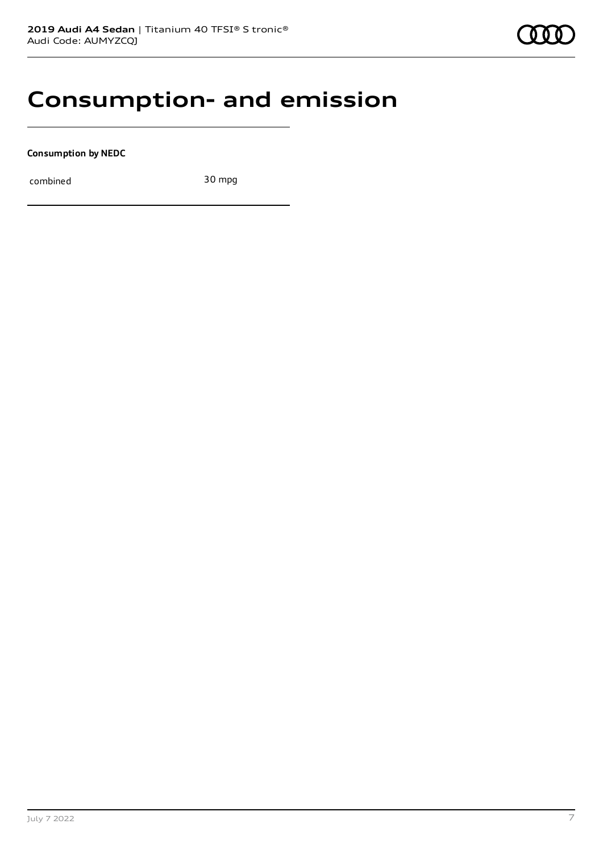### **Consumption- and emission**

**Consumption by NEDC**

combined 30 mpg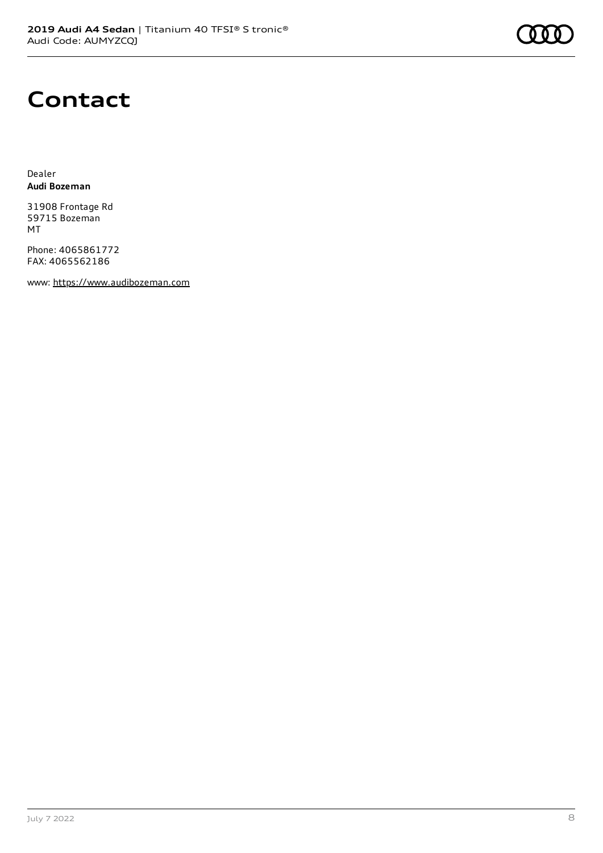# **Contact**

Dealer **Audi Bozeman**

31908 Frontage Rd 59715 Bozeman MT

Phone: 4065861772 FAX: 4065562186

www: [https://www.audibozeman.com](https://www.audibozeman.com/)